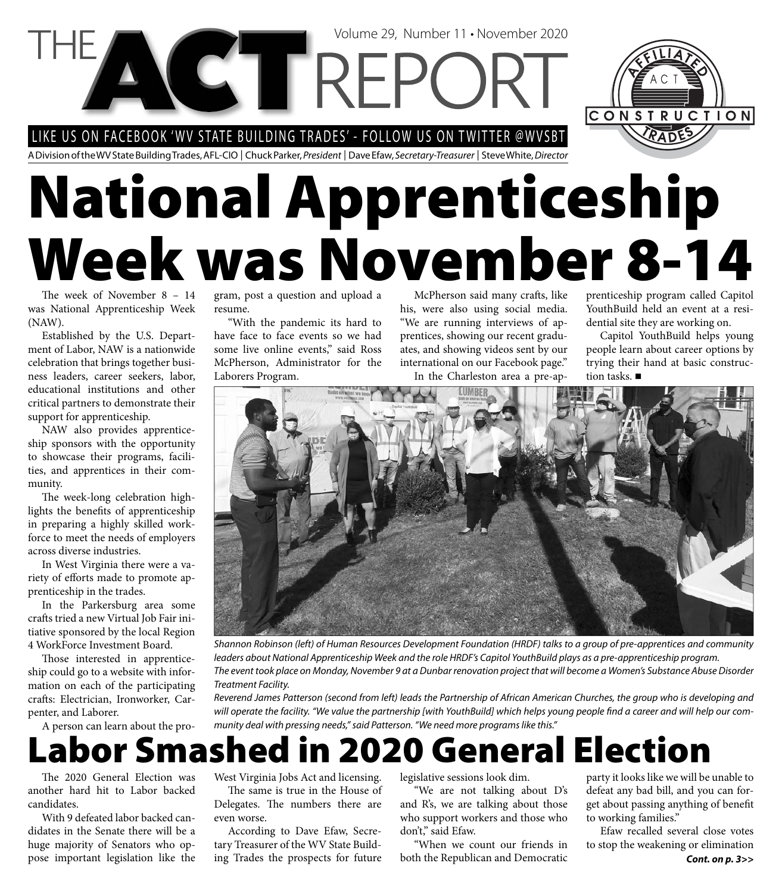#### LIKE US ON FACEBOOK 'WV STATE BUILDING TRADES' - FOLLOW US ON TWITTER @WVSBT

**VCTTREPC** 

A Division of the WV State Building Trades, AFL-CIO | Chuck Parker, President | Dave Efaw, Secretary-Treasurer | Steve White, Director

# **National Apprenticeship Week was November 8-14**

The week of November  $8 - 14$ was National Apprenticeship Week (NAW).

Established by the U.S. Department of Labor, NAW is a nationwide celebration that brings together business leaders, career seekers, labor, educational institutions and other critical partners to demonstrate their support for apprenticeship.

NAW also provides apprenticeship sponsors with the opportunity to showcase their programs, facilities, and apprentices in their community.

The week-long celebration highlights the benefits of apprenticeship in preparing a highly skilled workforce to meet the needs of employers across diverse industries.

In West Virginia there were a variety of efforts made to promote apprenticeship in the trades.

In the Parkersburg area some crafts tried a new Virtual Job Fair initiative sponsored by the local Region 4 WorkForce Investment Board.

Those interested in apprenticeship could go to a website with information on each of the participating crafts: Electrician, Ironworker, Carpenter, and Laborer.

A person can learn about the pro-

gram, post a question and upload a resume.

"With the pandemic its hard to have face to face events so we had some live online events," said Ross McPherson, Administrator for the Laborers Program.

McPherson said many crafts, like his, were also using social media. "We are running interviews of apprentices, showing our recent graduates, and showing videos sent by our international on our Facebook page." In the Charleston area a pre-ap-

Volume 29, Number 11 • November 2020

prenticeship program called Capitol YouthBuild held an event at a residential site they are working on.

CONSTRUCTION

Capitol YouthBuild helps young people learn about career options by trying their hand at basic construction tasks. ■



Shannon Robinson (left) of Human Resources Development Foundation (HRDF) talks to a group of pre-apprentices and community leaders about National Apprenticeship Week and the role HRDF's Capitol YouthBuild plays as a pre-apprenticeship program. The event took place on Monday, November 9 at a Dunbar renovation project that will become a Women's Substance Abuse Disorder Treatment Facility.

Reverend James Patterson (second from left) leads the Partnership of African American Churches, the group who is developing and will operate the facility. "We value the partnership [with YouthBuild] which helps young people find a career and will help our community deal with pressing needs," said Patterson. "We need more programs like this."

#### **Labor Smashed in 2020 General Election**

The 2020 General Election was another hard hit to Labor backed candidates.

With 9 defeated labor backed candidates in the Senate there will be a huge majority of Senators who oppose important legislation like the West Virginia Jobs Act and licensing.

The same is true in the House of Delegates. The numbers there are even worse.

According to Dave Efaw, Secretary Treasurer of the WV State Building Trades the prospects for future

legislative sessions look dim.

"We are not talking about D's and R's, we are talking about those who support workers and those who don't," said Efaw.

"When we count our friends in both the Republican and Democratic

party it looks like we will be unable to defeat any bad bill, and you can forget about passing anything of benefit to working families."

*Cont. on p. 3>>* Efaw recalled several close votes to stop the weakening or elimination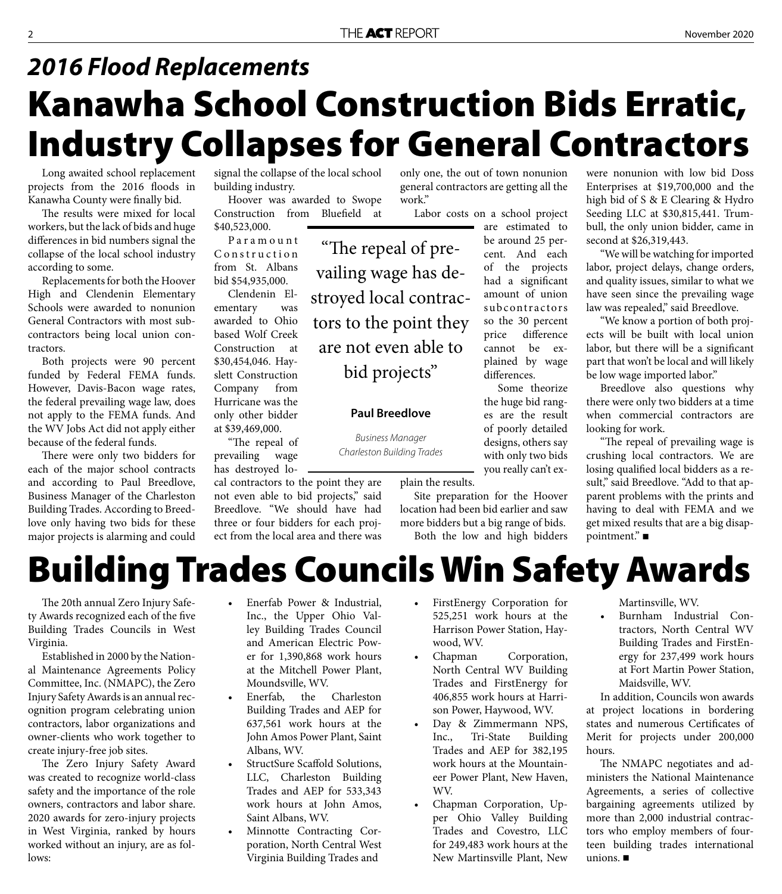### **Kanawha School Construction Bids Erratic, Industry Collapses for General Contractors** *2016 Flood Replacements*

"The repeal of pre-

vailing wage has de-

stroyed local contrac-

tors to the point they

are not even able to

bid projects"

**Paul Breedlove** 

Business Manager Charleston Building Trades

Long awaited school replacement projects from the 2016 floods in Kanawha County were finally bid.

The results were mixed for local workers, but the lack of bids and huge differences in bid numbers signal the collapse of the local school industry according to some.

Replacements for both the Hoover High and Clendenin Elementary Schools were awarded to nonunion General Contractors with most subcontractors being local union contractors.

Both projects were 90 percent funded by Federal FEMA funds. However, Davis-Bacon wage rates, the federal prevailing wage law, does not apply to the FEMA funds. And the WV Jobs Act did not apply either because of the federal funds.

There were only two bidders for each of the major school contracts and according to Paul Breedlove, Business Manager of the Charleston Building Trades. According to Breedlove only having two bids for these major projects is alarming and could signal the collapse of the local school building industry.

Hoover was awarded to Swope Construction from Bluefield at \$40,523,000.

P a r a m o u n t Construction from St. Albans bid \$54,935,000.

Clendenin Elementary was awarded to Ohio based Wolf Creek Construction at \$30,454,046. Hayslett Construction Company from Hurricane was the only other bidder at \$39,469,000.

"The repeal of prevailing wage has destroyed lo-

cal contractors to the point they are not even able to bid projects," said Breedlove. "We should have had three or four bidders for each project from the local area and there was only one, the out of town nonunion general contractors are getting all the work."

Labor costs on a school project

are estimated to be around 25 percent. And each of the projects had a significant amount of union subcontractors so the 30 percent price difference cannot be explained by wage differences.

Some theorize the huge bid ranges are the result of poorly detailed designs, others say with only two bids you really can't ex-

plain the results.

Site preparation for the Hoover location had been bid earlier and saw more bidders but a big range of bids. Both the low and high bidders

Seeding LLC at \$30,815,441. Trumbull, the only union bidder, came in second at \$26,319,443. "We will be watching for imported labor, project delays, change orders, and quality issues, similar to what we have seen since the prevailing wage law was repealed," said Breedlove.

"We know a portion of both projects will be built with local union labor, but there will be a significant part that won't be local and will likely be low wage imported labor."

were nonunion with low bid Doss Enterprises at \$19,700,000 and the high bid of S & E Clearing & Hydro

Breedlove also questions why there were only two bidders at a time when commercial contractors are looking for work.

"The repeal of prevailing wage is crushing local contractors. We are losing qualified local bidders as a result," said Breedlove. "Add to that apparent problems with the prints and having to deal with FEMA and we get mixed results that are a big disappointment." ■

### **Building Trades Councils Win Safety Awards**

The 20th annual Zero Injury Safety Awards recognized each of the five Building Trades Councils in West Virginia.

Established in 2000 by the National Maintenance Agreements Policy Committee, Inc. (NMAPC), the Zero Injury Safety Awards is an annual recognition program celebrating union contractors, labor organizations and owner-clients who work together to create injury-free job sites.

The Zero Injury Safety Award was created to recognize world-class safety and the importance of the role owners, contractors and labor share. 2020 awards for zero-injury projects in West Virginia, ranked by hours worked without an injury, are as follows:

- Enerfab Power & Industrial, Inc., the Upper Ohio Valley Building Trades Council and American Electric Power for 1,390,868 work hours at the Mitchell Power Plant, Moundsville, WV.
- Enerfab, the Charleston Building Trades and AEP for 637,561 work hours at the John Amos Power Plant, Saint Albans, WV.
- StructSure Scaffold Solutions, LLC, Charleston Building Trades and AEP for 533,343 work hours at John Amos, Saint Albans, WV.
- Minnotte Contracting Corporation, North Central West Virginia Building Trades and
- FirstEnergy Corporation for 525,251 work hours at the Harrison Power Station, Haywood, WV.
- Chapman Corporation, North Central WV Building Trades and FirstEnergy for 406,855 work hours at Harrison Power, Haywood, WV.
- Day & Zimmermann NPS, Inc., Tri-State Building Trades and AEP for 382,195 work hours at the Mountaineer Power Plant, New Haven, WV.
- Chapman Corporation, Upper Ohio Valley Building Trades and Covestro, LLC for 249,483 work hours at the New Martinsville Plant, New

Martinsville, WV.

• Burnham Industrial Contractors, North Central WV Building Trades and FirstEnergy for 237,499 work hours at Fort Martin Power Station, Maidsville, WV.

In addition, Councils won awards at project locations in bordering states and numerous Certificates of Merit for projects under 200,000 hours.

The NMAPC negotiates and administers the National Maintenance Agreements, a series of collective bargaining agreements utilized by more than 2,000 industrial contractors who employ members of fourteen building trades international unions.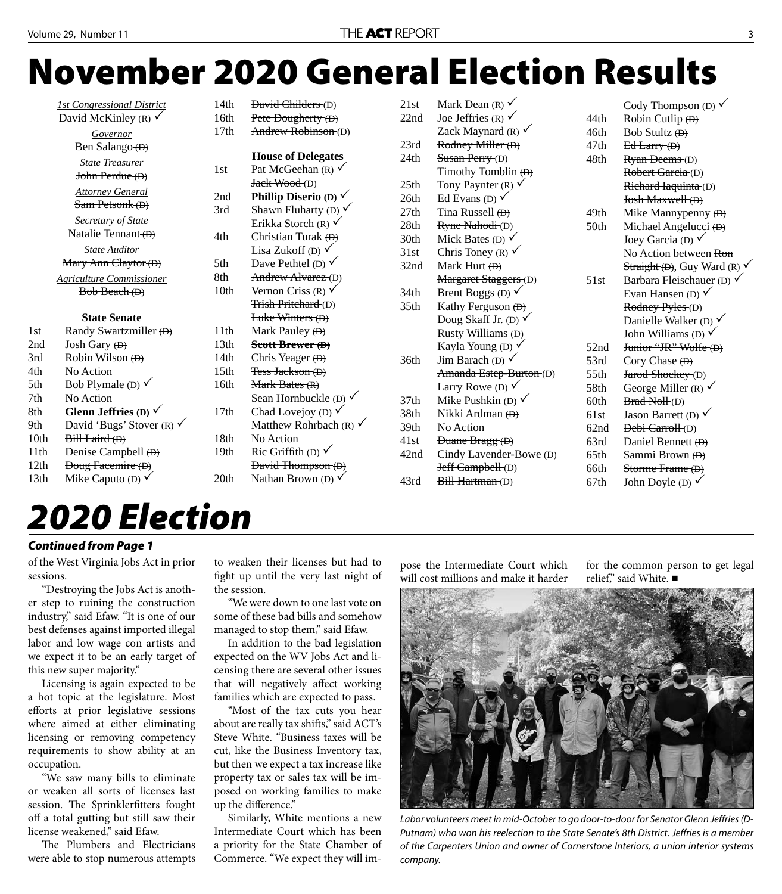# **November 2020 General Election Results**

|      | <b>1st Congressional District</b>    | 14th             | <b>David Childers (D)</b>         | 21st             |
|------|--------------------------------------|------------------|-----------------------------------|------------------|
|      | David McKinley (R) $\checkmark$      |                  | Pete Dougherty (D)                | 22nd             |
|      | Governor                             | 17th             | Andrew Robinson (D)               |                  |
|      | Ben Salango (D)                      |                  |                                   | 23rd             |
|      | <b>State Treasurer</b>               | 1st              | <b>House of Delegates</b>         | 24th             |
|      | John Perdue (D)                      |                  | Pat McGeehan (R) $\checkmark$     |                  |
|      |                                      |                  | Jack Wood (D)                     | 25 <sub>th</sub> |
|      | <b>Attorney General</b>              |                  | Phillip Diserio (D) $\checkmark$  | 26th             |
|      | Sam Petsonk (D)                      | 3rd              | Shawn Fluharty (D) $\checkmark$   | 27th             |
|      | <b>Secretary of State</b>            |                  | Erikka Storch (R) $\checkmark$    | 28th             |
|      | Natalie Tennant (D)                  | 4th              | Christian Turak (D)               | 30th             |
|      | <b>State Auditor</b>                 |                  | Lisa Zukoff (D) $\checkmark$      | 31st             |
|      | Mary Ann Claytor (D)                 | 5th              | Dave Pethtel (D) $\checkmark$     | 32nd             |
|      | <b>Agriculture Commissioner</b>      | 8th              | Andrew Alvarez (D)                |                  |
|      | Bob Beach (D)                        | 10th             | Vernon Criss (R) $\checkmark$     | 34th             |
|      |                                      |                  | <b>Trish Pritchard (D)</b>        | 35th             |
|      | <b>State Senate</b>                  |                  | Luke Winters (D)                  |                  |
| 1st  | Randy Swartzmiller (D)               | 11th             | Mark Pauley (D)                   |                  |
| 2nd  | Josh Gary (D)                        | 13th             | Scott Brewer (D)                  |                  |
| 3rd  | Robin Wilson (D)                     | 14th             | Chris Yeager (D)                  | 36th             |
| 4th  | No Action                            | 15 <sub>th</sub> | Tess Jackson (D)                  |                  |
| 5th  | Bob Plymale (D) $\checkmark$         | 16th             | Mark Bates $(R)$                  |                  |
| 7th  | No Action                            |                  | Sean Hornbuckle (D) $\checkmark$  | 37 <sub>th</sub> |
| 8th  | Glenn Jeffries (D) $\checkmark$      | 17th             | Chad Lovejoy (D) $\checkmark$     | 38th             |
| 9th  | David 'Bugs' Stover (R) $\checkmark$ |                  | Matthew Rohrbach (R) $\checkmark$ | 39th             |
| 10th | Bill Laird (D)                       | 18th             | No Action                         | 41st             |
| 11th | Denise Campbell (D)                  | 19th             | Ric Griffith (D) $\checkmark$     | 42nd             |
| 12th | <b>Doug Facemire (D)</b>             |                  | <b>David Thompson (D)</b>         |                  |
| 13th | Mike Caputo (D) $\checkmark$         | 20th             | Nathan Brown (D) $\checkmark$     | 43rd             |
|      |                                      |                  |                                   |                  |

| 21st | Mark Dean (R) $\checkmark$      |      | Cody Thompson (D) $\checkmark$          |
|------|---------------------------------|------|-----------------------------------------|
| 22nd | Joe Jeffries (R) $\checkmark$   | 44th | Robin Cutlip (D)                        |
|      | Zack Maynard (R) $\checkmark$   | 46th | Bob Stultz (D)                          |
| 23rd | Rodney Miller (D)               | 47th | $Ed$ Larry $(D)$                        |
| 24th | Susan Perry (D)                 | 48th | Ryan Deems (D)                          |
|      | <b>Timothy Tomblin (D)</b>      |      | Robert Garcia (D)                       |
| 25th | Tony Paynter (R) $\checkmark$   |      | Richard Iaquinta (D)                    |
| 26th | Ed Evans (D) $\checkmark$       |      | Josh Maxwell (D)                        |
| 27th | Tina Russell (D)                | 49th | Mike Mannypenny (D)                     |
| 28th | Ryne Nahodi (D)                 | 50th | Michael Angelucci (D)                   |
| 30th | Mick Bates (D) $\checkmark$     |      | Joey Garcia (D) $\checkmark$            |
| 31st | Chris Toney (R) $\checkmark$    |      | No Action between Ron                   |
| 32nd | Mark Hurt (D)                   |      | Straight (D), Guy Ward (R) $\checkmark$ |
|      | Margaret Staggers (D)           | 51st | Barbara Fleischauer (D) $\checkmark$    |
| 34th | Brent Boggs (D) $\checkmark$    |      | Evan Hansen (D) $\checkmark$            |
| 35th | Kathy Ferguson (D)              |      | Rodney Pyles (D)                        |
|      | Doug Skaff Jr. (D) $\checkmark$ |      | Danielle Walker (D) $\checkmark$        |
|      | Rusty Williams (D)              |      | John Williams (D) $\checkmark$          |
|      | Kayla Young (D) $\checkmark$    | 52nd | Junior "JR" Wolfe (D)                   |
| 36th | Jim Barach (D) $\checkmark$     | 53rd | Cory Chase(D)                           |
|      | Amanda Estep-Burton (D)         | 55th | Jarod Shockey (D)                       |
|      | Larry Rowe (D) $\checkmark$     | 58th | George Miller (R) $\checkmark$          |
| 37th | Mike Pushkin (D) $\checkmark$   | 60th | Brad Noll (D)                           |
| 38th | Nikki Ardman (D)                | 61st | Jason Barrett (D) $\checkmark$          |
| 39th | No Action                       | 62nd | Debi Carroll (D)                        |
| 41st | Duane Bragg (D)                 | 63rd | Daniel Bennett (D)                      |
| 42nd | Cindy Lavender-Bowe (D)         | 65th | Sammi Brown (D)                         |
|      | Jeff Campbell (D)               | 66th | Storme Frame (D)                        |
| 43rd | Bill Hartman (D)                | 67th | John Doyle (D) $\checkmark$             |
|      |                                 |      |                                         |

### *2020 Election*

#### *Continued from Page 1*

of the West Virginia Jobs Act in prior sessions.

"Destroying the Jobs Act is another step to ruining the construction industry," said Efaw. "It is one of our best defenses against imported illegal labor and low wage con artists and we expect it to be an early target of this new super majority."

Licensing is again expected to be a hot topic at the legislature. Most efforts at prior legislative sessions where aimed at either eliminating licensing or removing competency requirements to show ability at an occupation.

"We saw many bills to eliminate or weaken all sorts of licenses last session. The Sprinklerfitters fought off a total gutting but still saw their license weakened," said Efaw.

The Plumbers and Electricians were able to stop numerous attempts to weaken their licenses but had to fight up until the very last night of the session.

"We were down to one last vote on some of these bad bills and somehow managed to stop them," said Efaw.

In addition to the bad legislation expected on the WV Jobs Act and licensing there are several other issues that will negatively affect working families which are expected to pass.

"Most of the tax cuts you hear about are really tax shifts," said ACT's Steve White. "Business taxes will be cut, like the Business Inventory tax, but then we expect a tax increase like property tax or sales tax will be imposed on working families to make up the difference."

Similarly, White mentions a new Intermediate Court which has been a priority for the State Chamber of Commerce. "We expect they will im-

pose the Intermediate Court which will cost millions and make it harder for the common person to get legal relief," said White. ■



Labor volunteers meet in mid-October to go door-to-door for Senator Glenn Jeffries (D-Putnam) who won his reelection to the State Senate's 8th District. Jeffries is a member of the Carpenters Union and owner of Cornerstone Interiors, a union interior systems company.